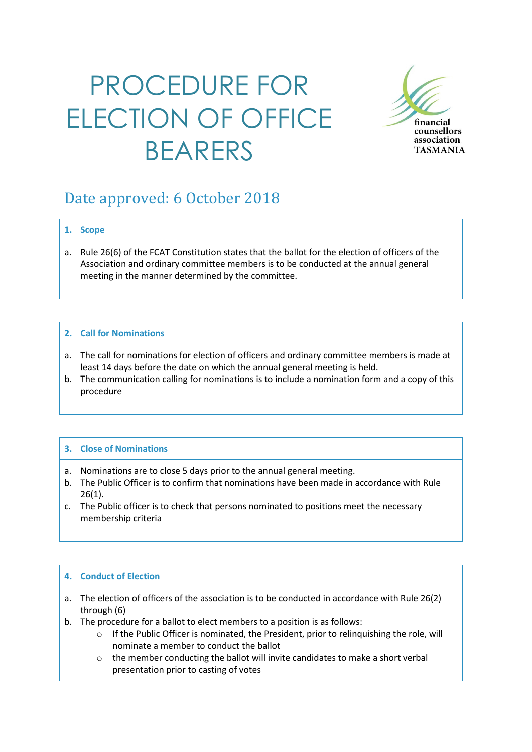# PROCEDURE FOR ELECTION OF OFFICE BEARERS



### Date approved: 6 October 2018

#### **1. Scope**

a. Rule 26(6) of the FCAT Constitution states that the ballot for the election of officers of the Association and ordinary committee members is to be conducted at the annual general meeting in the manner determined by the committee.

#### **2. Call for Nominations**

- a. The call for nominations for election of officers and ordinary committee members is made at least 14 days before the date on which the annual general meeting is held.
- b. The communication calling for nominations is to include a nomination form and a copy of this procedure

#### **3. Close of Nominations**

- a. Nominations are to close 5 days prior to the annual general meeting.
- b. The Public Officer is to confirm that nominations have been made in accordance with Rule 26(1).
- c. The Public officer is to check that persons nominated to positions meet the necessary membership criteria

#### **4. Conduct of Election**

- a. The election of officers of the association is to be conducted in accordance with Rule 26(2) through (6)
- b. The procedure for a ballot to elect members to a position is as follows:
	- $\circ$  If the Public Officer is nominated, the President, prior to relinquishing the role, will nominate a member to conduct the ballot
	- o the member conducting the ballot will invite candidates to make a short verbal presentation prior to casting of votes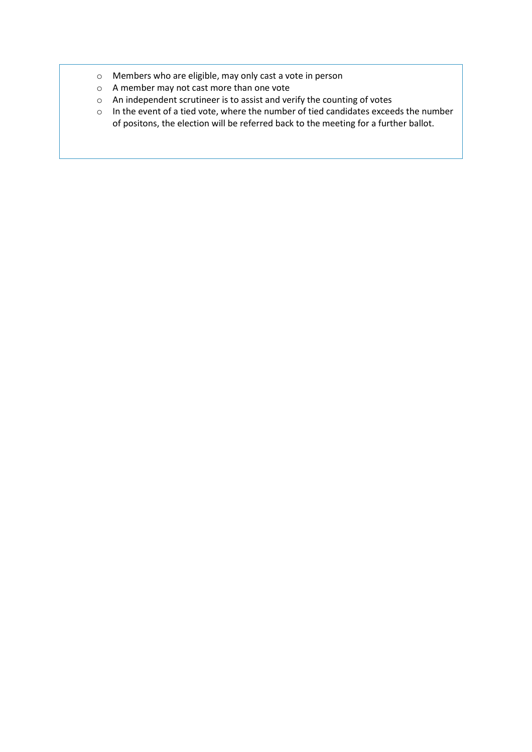- o Members who are eligible, may only cast a vote in person
- o A member may not cast more than one vote
- o An independent scrutineer is to assist and verify the counting of votes
- o In the event of a tied vote, where the number of tied candidates exceeds the number of positons, the election will be referred back to the meeting for a further ballot.